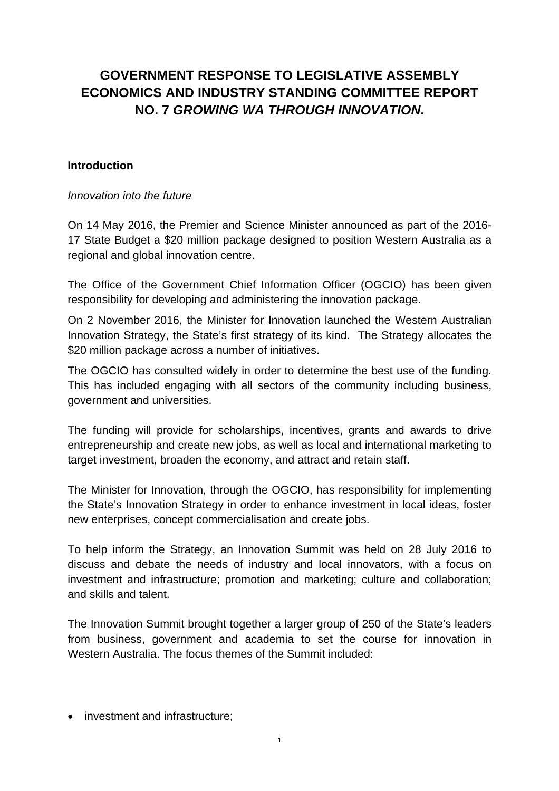# **GOVERNMENT RESPONSE TO LEGISLATIVE ASSEMBLY ECONOMICS AND INDUSTRY STANDING COMMITTEE REPORT NO. 7** *GROWING WA THROUGH INNOVATION.*

#### **Introduction**

#### *Innovation into the future*

On 14 May 2016, the Premier and Science Minister announced as part of the 2016- 17 State Budget a \$20 million package designed to position Western Australia as a regional and global innovation centre.

The Office of the Government Chief Information Officer (OGCIO) has been given responsibility for developing and administering the innovation package.

On 2 November 2016, the Minister for Innovation launched the Western Australian Innovation Strategy, the State's first strategy of its kind. The Strategy allocates the \$20 million package across a number of initiatives.

The OGCIO has consulted widely in order to determine the best use of the funding. This has included engaging with all sectors of the community including business, government and universities.

The funding will provide for scholarships, incentives, grants and awards to drive entrepreneurship and create new jobs, as well as local and international marketing to target investment, broaden the economy, and attract and retain staff.

The Minister for Innovation, through the OGCIO, has responsibility for implementing the State's Innovation Strategy in order to enhance investment in local ideas, foster new enterprises, concept commercialisation and create jobs.

To help inform the Strategy, an Innovation Summit was held on 28 July 2016 to discuss and debate the needs of industry and local innovators, with a focus on investment and infrastructure; promotion and marketing; culture and collaboration; and skills and talent.

The Innovation Summit brought together a larger group of 250 of the State's leaders from business, government and academia to set the course for innovation in Western Australia. The focus themes of the Summit included:

• investment and infrastructure: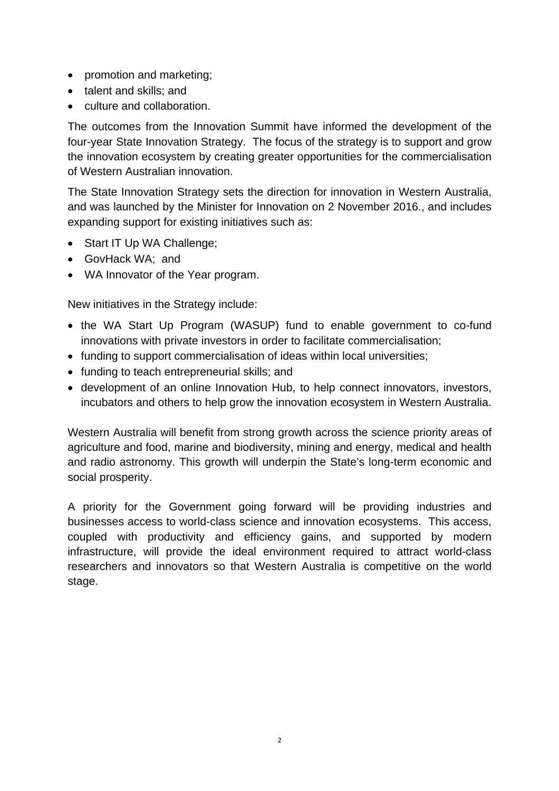- promotion and marketing;
- talent and skills: and
- culture and collaboration.

The outcomes from the Innovation Summit have informed the development of the four-year State Innovation Strategy. The focus of the strategy is to support and grow the innovation ecosystem by creating greater opportunities for the commercialisation of Western Australian innovation.

The State Innovation Strategy sets the direction for innovation in Western Australia, and was launched by the Minister for Innovation on 2 November 2016., and includes expanding support for existing initiatives such as:

- Start IT Up WA Challenge;
- GovHack WA; and
- WA Innovator of the Year program.

New initiatives in the Strategy include:

- the WA Start Up Program (WASUP) fund to enable government to co-fund innovations with private investors in order to facilitate commercialisation;
- funding to support commercialisation of ideas within local universities:
- funding to teach entrepreneurial skills; and
- development of an online Innovation Hub, to help connect innovators, investors, incubators and others to help grow the innovation ecosystem in Western Australia.

Western Australia will benefit from strong growth across the science priority areas of agriculture and food, marine and biodiversity, mining and energy, medical and health and radio astronomy. This growth will underpin the State's long-term economic and social prosperity.

A priority for the Government going forward will be providing industries and businesses access to world-class science and innovation ecosystems. This access, coupled with productivity and efficiency gains, and supported by modern infrastructure, will provide the ideal environment required to attract world-class researchers and innovators so that Western Australia is competitive on the world stage.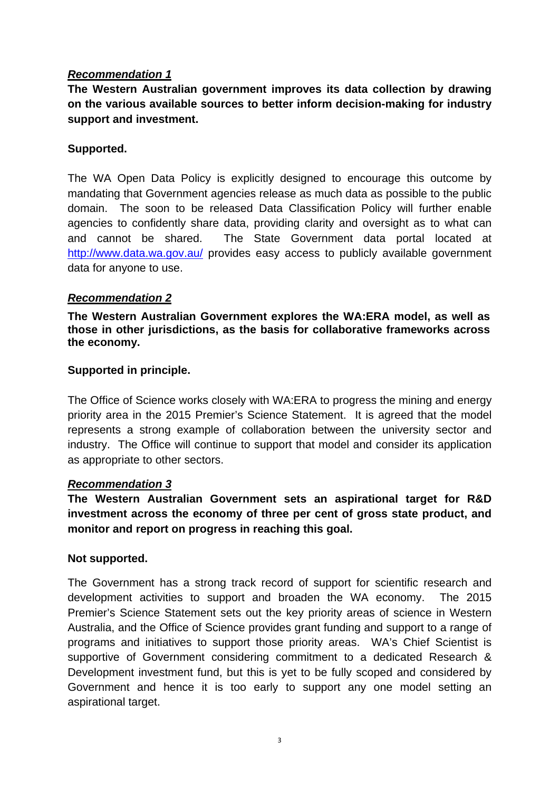**The Western Australian government improves its data collection by drawing on the various available sources to better inform decision-making for industry support and investment.** 

#### **Supported.**

The WA Open Data Policy is explicitly designed to encourage this outcome by mandating that Government agencies release as much data as possible to the public domain. The soon to be released Data Classification Policy will further enable agencies to confidently share data, providing clarity and oversight as to what can and cannot be shared. The State Government data portal located at http://www.data.wa.gov.au/ provides easy access to publicly available government data for anyone to use.

# *Recommendation 2*

**The Western Australian Government explores the WA:ERA model, as well as those in other jurisdictions, as the basis for collaborative frameworks across the economy.** 

# **Supported in principle.**

The Office of Science works closely with WA:ERA to progress the mining and energy priority area in the 2015 Premier's Science Statement. It is agreed that the model represents a strong example of collaboration between the university sector and industry. The Office will continue to support that model and consider its application as appropriate to other sectors.

#### *Recommendation 3*

**The Western Australian Government sets an aspirational target for R&D investment across the economy of three per cent of gross state product, and monitor and report on progress in reaching this goal.** 

#### **Not supported.**

The Government has a strong track record of support for scientific research and development activities to support and broaden the WA economy. The 2015 Premier's Science Statement sets out the key priority areas of science in Western Australia, and the Office of Science provides grant funding and support to a range of programs and initiatives to support those priority areas. WA's Chief Scientist is supportive of Government considering commitment to a dedicated Research & Development investment fund, but this is yet to be fully scoped and considered by Government and hence it is too early to support any one model setting an aspirational target.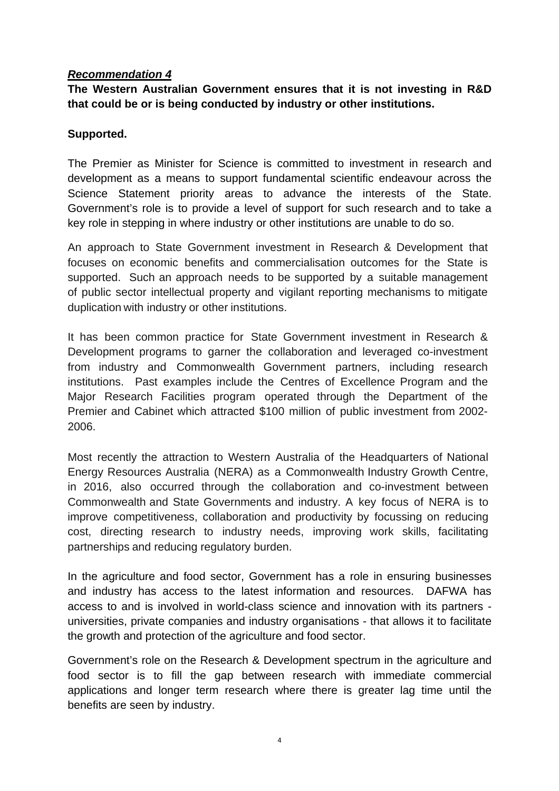**The Western Australian Government ensures that it is not investing in R&D that could be or is being conducted by industry or other institutions.** 

# **Supported.**

The Premier as Minister for Science is committed to investment in research and development as a means to support fundamental scientific endeavour across the Science Statement priority areas to advance the interests of the State. Government's role is to provide a level of support for such research and to take a key role in stepping in where industry or other institutions are unable to do so.

An approach to State Government investment in Research & Development that focuses on economic benefits and commercialisation outcomes for the State is supported. Such an approach needs to be supported by a suitable management of public sector intellectual property and vigilant reporting mechanisms to mitigate duplication with industry or other institutions.

It has been common practice for State Government investment in Research & Development programs to garner the collaboration and leveraged co-investment from industry and Commonwealth Government partners, including research institutions. Past examples include the Centres of Excellence Program and the Major Research Facilities program operated through the Department of the Premier and Cabinet which attracted \$100 million of public investment from 2002- 2006.

Most recently the attraction to Western Australia of the Headquarters of National Energy Resources Australia (NERA) as a Commonwealth Industry Growth Centre, in 2016, also occurred through the collaboration and co-investment between Commonwealth and State Governments and industry. A key focus of NERA is to improve competitiveness, collaboration and productivity by focussing on reducing cost, directing research to industry needs, improving work skills, facilitating partnerships and reducing regulatory burden.

In the agriculture and food sector, Government has a role in ensuring businesses and industry has access to the latest information and resources. DAFWA has access to and is involved in world-class science and innovation with its partners universities, private companies and industry organisations - that allows it to facilitate the growth and protection of the agriculture and food sector.

Government's role on the Research & Development spectrum in the agriculture and food sector is to fill the gap between research with immediate commercial applications and longer term research where there is greater lag time until the benefits are seen by industry.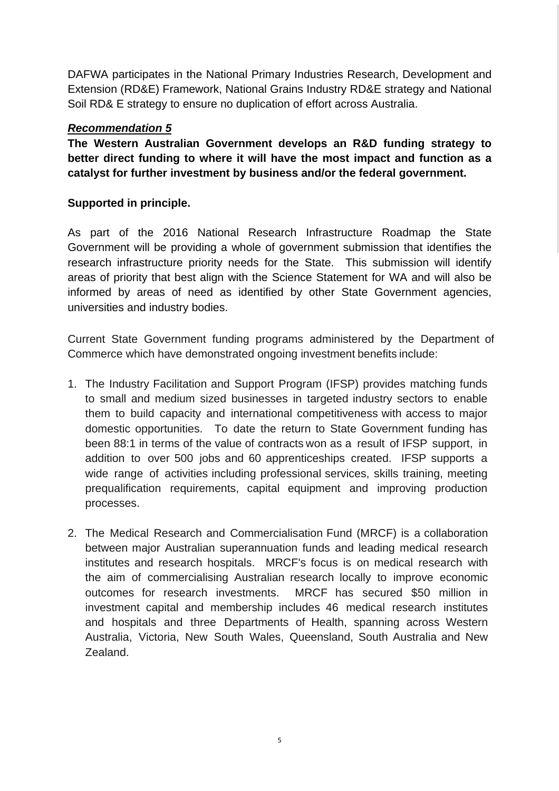DAFWA participates in the National Primary Industries Research, Development and Extension (RD&E) Framework, National Grains Industry RD&E strategy and National Soil RD& E strategy to ensure no duplication of effort across Australia.

# *Recommendation 5*

**The Western Australian Government develops an R&D funding strategy to better direct funding to where it will have the most impact and function as a catalyst for further investment by business and/or the federal government.** 

# **Supported in principle.**

As part of the 2016 National Research Infrastructure Roadmap the State Government will be providing a whole of government submission that identifies the research infrastructure priority needs for the State. This submission will identify areas of priority that best align with the Science Statement for WA and will also be informed by areas of need as identified by other State Government agencies, universities and industry bodies.

Current State Government funding programs administered by the Department of Commerce which have demonstrated ongoing investment benefits include:

- 1. The Industry Facilitation and Support Program (IFSP) provides matching funds to small and medium sized businesses in targeted industry sectors to enable them to build capacity and international competitiveness with access to major domestic opportunities. To date the return to State Government funding has been 88:1 in terms of the value of contracts won as a result of IFSP support, in addition to over 500 jobs and 60 apprenticeships created. IFSP supports a wide range of activities including professional services, skills training, meeting prequalification requirements, capital equipment and improving production processes.
- 2. The Medical Research and Commercialisation Fund (MRCF) is a collaboration between major Australian superannuation funds and leading medical research institutes and research hospitals. MRCF's focus is on medical research with the aim of commercialising Australian research locally to improve economic outcomes for research investments. MRCF has secured \$50 million in investment capital and membership includes 46 medical research institutes and hospitals and three Departments of Health, spanning across Western Australia, Victoria, New South Wales, Queensland, South Australia and New Zealand.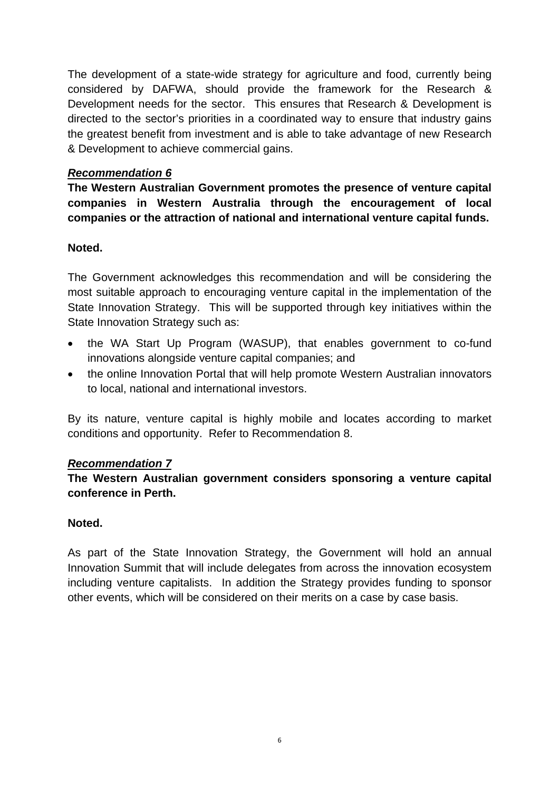The development of a state-wide strategy for agriculture and food, currently being considered by DAFWA, should provide the framework for the Research & Development needs for the sector. This ensures that Research & Development is directed to the sector's priorities in a coordinated way to ensure that industry gains the greatest benefit from investment and is able to take advantage of new Research & Development to achieve commercial gains.

# *Recommendation 6*

**The Western Australian Government promotes the presence of venture capital companies in Western Australia through the encouragement of local companies or the attraction of national and international venture capital funds.** 

# **Noted.**

The Government acknowledges this recommendation and will be considering the most suitable approach to encouraging venture capital in the implementation of the State Innovation Strategy. This will be supported through key initiatives within the State Innovation Strategy such as:

- the WA Start Up Program (WASUP), that enables government to co-fund innovations alongside venture capital companies; and
- the online Innovation Portal that will help promote Western Australian innovators to local, national and international investors.

By its nature, venture capital is highly mobile and locates according to market conditions and opportunity. Refer to Recommendation 8.

#### *Recommendation 7*

# **The Western Australian government considers sponsoring a venture capital conference in Perth.**

#### **Noted.**

As part of the State Innovation Strategy, the Government will hold an annual Innovation Summit that will include delegates from across the innovation ecosystem including venture capitalists. In addition the Strategy provides funding to sponsor other events, which will be considered on their merits on a case by case basis.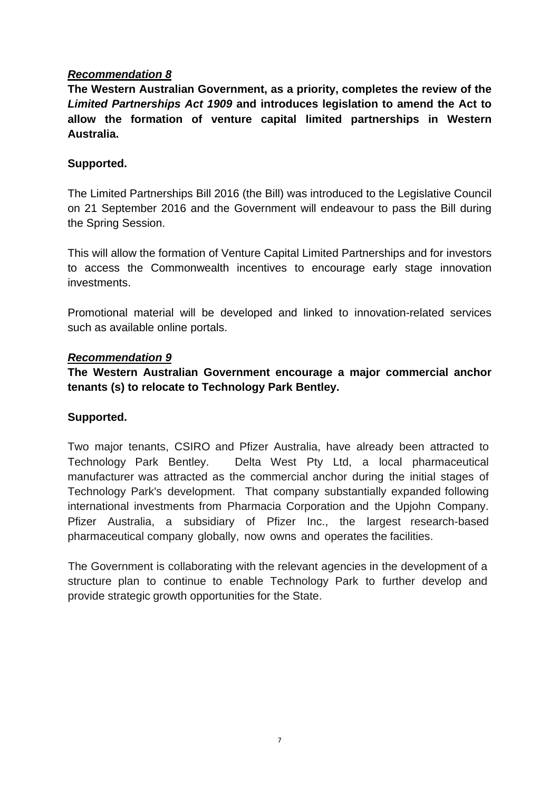**The Western Australian Government, as a priority, completes the review of the**  *Limited Partnerships Act 1909* **and introduces legislation to amend the Act to allow the formation of venture capital limited partnerships in Western Australia.** 

# **Supported.**

The Limited Partnerships Bill 2016 (the Bill) was introduced to the Legislative Council on 21 September 2016 and the Government will endeavour to pass the Bill during the Spring Session.

This will allow the formation of Venture Capital Limited Partnerships and for investors to access the Commonwealth incentives to encourage early stage innovation investments.

Promotional material will be developed and linked to innovation-related services such as available online portals.

#### *Recommendation 9*

**The Western Australian Government encourage a major commercial anchor tenants (s) to relocate to Technology Park Bentley.** 

#### **Supported.**

Two major tenants, CSIRO and Pfizer Australia, have already been attracted to Technology Park Bentley. Delta West Pty Ltd, a local pharmaceutical manufacturer was attracted as the commercial anchor during the initial stages of Technology Park's development. That company substantially expanded following international investments from Pharmacia Corporation and the Upjohn Company. Pfizer Australia, a subsidiary of Pfizer Inc., the largest research-based pharmaceutical company globally, now owns and operates the facilities.

The Government is collaborating with the relevant agencies in the development of a structure plan to continue to enable Technology Park to further develop and provide strategic growth opportunities for the State.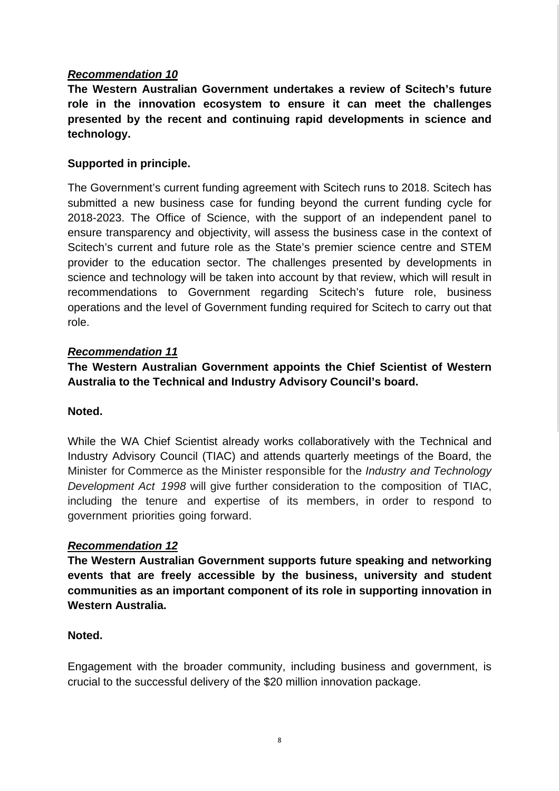**The Western Australian Government undertakes a review of Scitech's future role in the innovation ecosystem to ensure it can meet the challenges presented by the recent and continuing rapid developments in science and technology.** 

# **Supported in principle.**

The Government's current funding agreement with Scitech runs to 2018. Scitech has submitted a new business case for funding beyond the current funding cycle for 2018-2023. The Office of Science, with the support of an independent panel to ensure transparency and objectivity, will assess the business case in the context of Scitech's current and future role as the State's premier science centre and STEM provider to the education sector. The challenges presented by developments in science and technology will be taken into account by that review, which will result in recommendations to Government regarding Scitech's future role, business operations and the level of Government funding required for Scitech to carry out that role.

#### *Recommendation 11*

**The Western Australian Government appoints the Chief Scientist of Western Australia to the Technical and Industry Advisory Council's board.** 

#### **Noted.**

While the WA Chief Scientist already works collaboratively with the Technical and Industry Advisory Council (TIAC) and attends quarterly meetings of the Board, the Minister for Commerce as the Minister responsible for the *Industry and Technology Development Act 1998* will give further consideration to the composition of TIAC, including the tenure and expertise of its members, in order to respond to government priorities going forward.

#### *Recommendation 12*

**The Western Australian Government supports future speaking and networking events that are freely accessible by the business, university and student communities as an important component of its role in supporting innovation in Western Australia.** 

#### **Noted.**

Engagement with the broader community, including business and government, is crucial to the successful delivery of the \$20 million innovation package.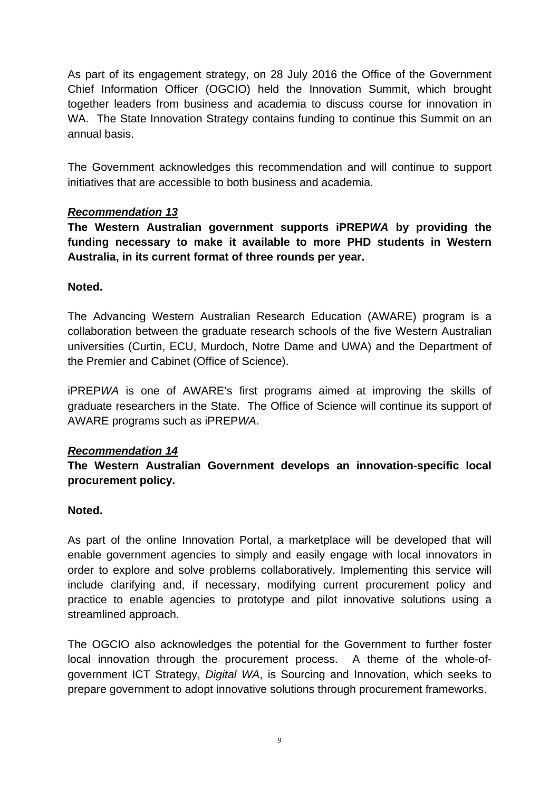As part of its engagement strategy, on 28 July 2016 the Office of the Government Chief Information Officer (OGCIO) held the Innovation Summit, which brought together leaders from business and academia to discuss course for innovation in WA. The State Innovation Strategy contains funding to continue this Summit on an annual basis.

The Government acknowledges this recommendation and will continue to support initiatives that are accessible to both business and academia.

# *Recommendation 13*

**The Western Australian government supports iPREP***WA* **by providing the funding necessary to make it available to more PHD students in Western Australia, in its current format of three rounds per year.** 

# **Noted.**

The Advancing Western Australian Research Education (AWARE) program is a collaboration between the graduate research schools of the five Western Australian universities (Curtin, ECU, Murdoch, Notre Dame and UWA) and the Department of the Premier and Cabinet (Office of Science).

iPREP*WA* is one of AWARE's first programs aimed at improving the skills of graduate researchers in the State. The Office of Science will continue its support of AWARE programs such as iPREP*WA*.

# *Recommendation 14*

# **The Western Australian Government develops an innovation-specific local procurement policy.**

# **Noted.**

As part of the online Innovation Portal, a marketplace will be developed that will enable government agencies to simply and easily engage with local innovators in order to explore and solve problems collaboratively. Implementing this service will include clarifying and, if necessary, modifying current procurement policy and practice to enable agencies to prototype and pilot innovative solutions using a streamlined approach.

The OGCIO also acknowledges the potential for the Government to further foster local innovation through the procurement process. A theme of the whole-ofgovernment ICT Strategy, *Digital WA*, is Sourcing and Innovation, which seeks to prepare government to adopt innovative solutions through procurement frameworks.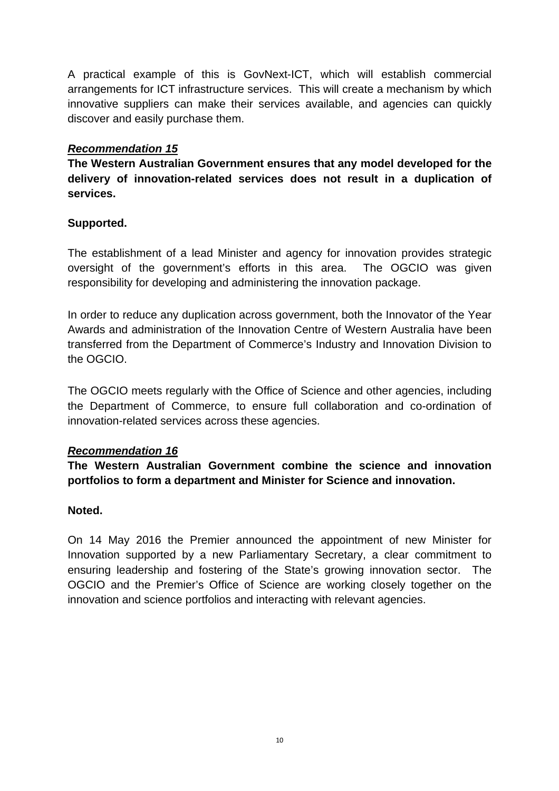A practical example of this is GovNext-ICT, which will establish commercial arrangements for ICT infrastructure services. This will create a mechanism by which innovative suppliers can make their services available, and agencies can quickly discover and easily purchase them.

# *Recommendation 15*

**The Western Australian Government ensures that any model developed for the delivery of innovation-related services does not result in a duplication of services.** 

# **Supported.**

The establishment of a lead Minister and agency for innovation provides strategic oversight of the government's efforts in this area. The OGCIO was given responsibility for developing and administering the innovation package.

In order to reduce any duplication across government, both the Innovator of the Year Awards and administration of the Innovation Centre of Western Australia have been transferred from the Department of Commerce's Industry and Innovation Division to the OGCIO.

The OGCIO meets regularly with the Office of Science and other agencies, including the Department of Commerce, to ensure full collaboration and co-ordination of innovation-related services across these agencies.

#### *Recommendation 16*

**The Western Australian Government combine the science and innovation portfolios to form a department and Minister for Science and innovation.** 

#### **Noted.**

On 14 May 2016 the Premier announced the appointment of new Minister for Innovation supported by a new Parliamentary Secretary, a clear commitment to ensuring leadership and fostering of the State's growing innovation sector. The OGCIO and the Premier's Office of Science are working closely together on the innovation and science portfolios and interacting with relevant agencies.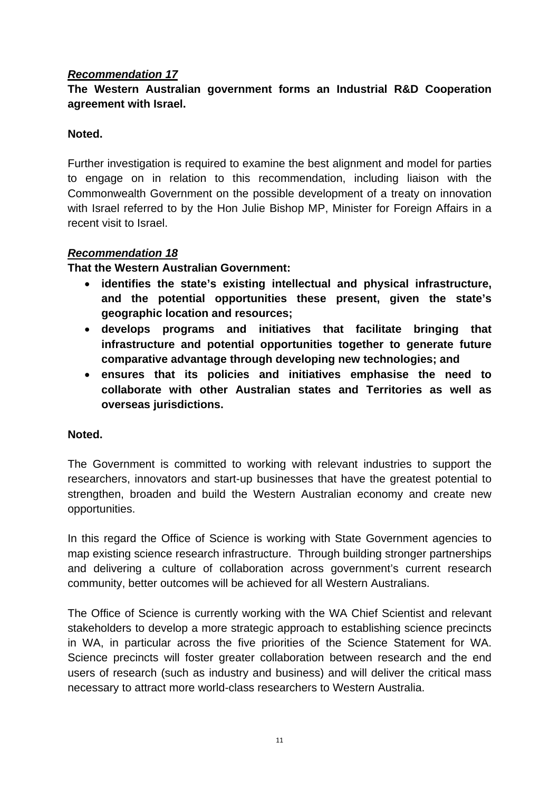# **The Western Australian government forms an Industrial R&D Cooperation agreement with Israel.**

# **Noted.**

Further investigation is required to examine the best alignment and model for parties to engage on in relation to this recommendation, including liaison with the Commonwealth Government on the possible development of a treaty on innovation with Israel referred to by the Hon Julie Bishop MP, Minister for Foreign Affairs in a recent visit to Israel.

# *Recommendation 18*

**That the Western Australian Government:** 

- **identifies the state's existing intellectual and physical infrastructure, and the potential opportunities these present, given the state's geographic location and resources;**
- **develops programs and initiatives that facilitate bringing that infrastructure and potential opportunities together to generate future comparative advantage through developing new technologies; and**
- **ensures that its policies and initiatives emphasise the need to collaborate with other Australian states and Territories as well as overseas jurisdictions.**

#### **Noted.**

The Government is committed to working with relevant industries to support the researchers, innovators and start-up businesses that have the greatest potential to strengthen, broaden and build the Western Australian economy and create new opportunities.

In this regard the Office of Science is working with State Government agencies to map existing science research infrastructure. Through building stronger partnerships and delivering a culture of collaboration across government's current research community, better outcomes will be achieved for all Western Australians.

The Office of Science is currently working with the WA Chief Scientist and relevant stakeholders to develop a more strategic approach to establishing science precincts in WA, in particular across the five priorities of the Science Statement for WA. Science precincts will foster greater collaboration between research and the end users of research (such as industry and business) and will deliver the critical mass necessary to attract more world-class researchers to Western Australia.